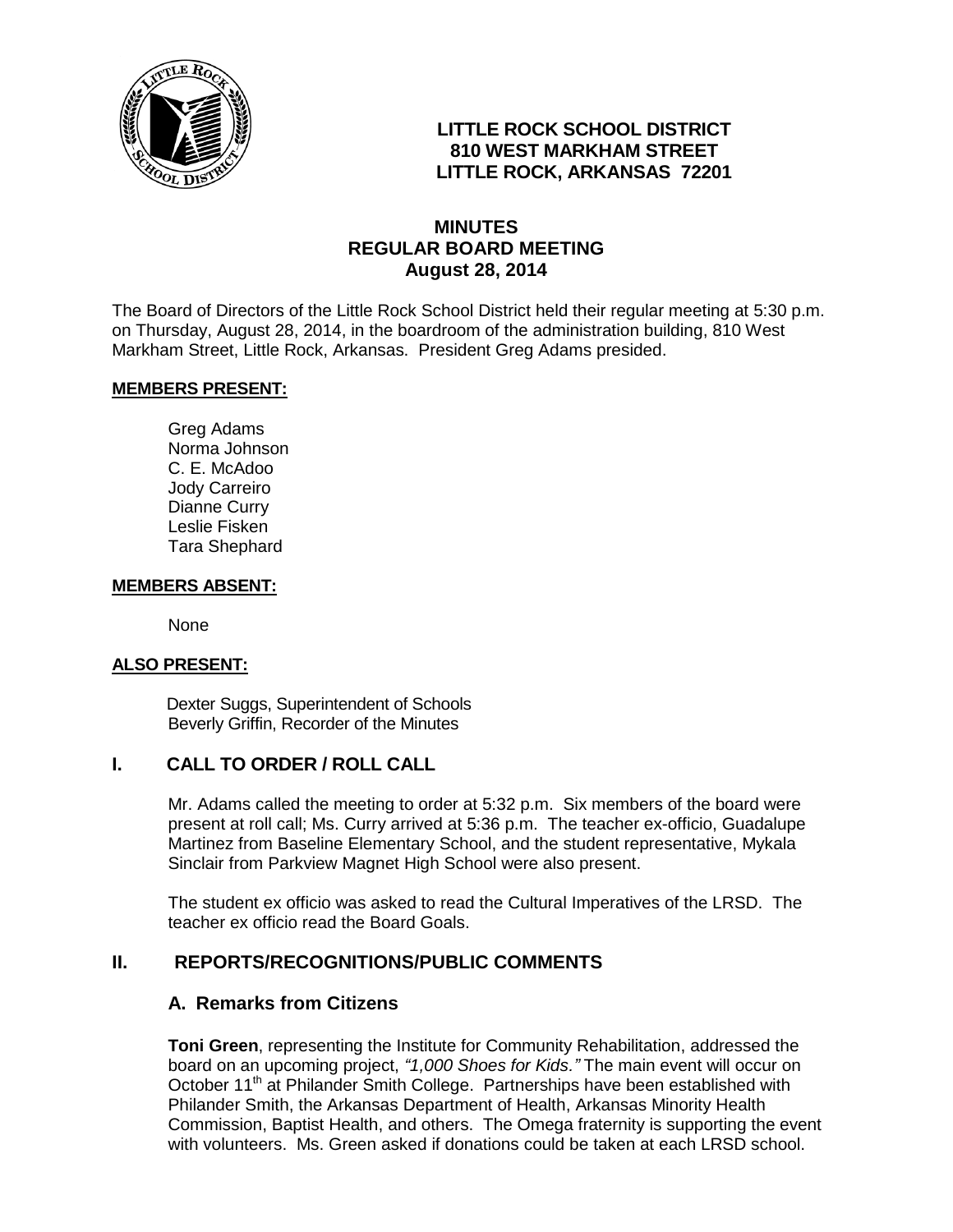

## **LITTLE ROCK SCHOOL DISTRICT 810 WEST MARKHAM STREET LITTLE ROCK, ARKANSAS 72201**

## **MINUTES REGULAR BOARD MEETING August 28, 2014**

The Board of Directors of the Little Rock School District held their regular meeting at 5:30 p.m. on Thursday, August 28, 2014, in the boardroom of the administration building, 810 West Markham Street, Little Rock, Arkansas. President Greg Adams presided.

### **MEMBERS PRESENT:**

Greg Adams Norma Johnson C. E. McAdoo Jody Carreiro Dianne Curry Leslie Fisken Tara Shephard

#### **MEMBERS ABSENT:**

None

### **ALSO PRESENT:**

 Dexter Suggs, Superintendent of Schools Beverly Griffin, Recorder of the Minutes

### **I. CALL TO ORDER / ROLL CALL**

Mr. Adams called the meeting to order at 5:32 p.m. Six members of the board were present at roll call; Ms. Curry arrived at 5:36 p.m. The teacher ex-officio, Guadalupe Martinez from Baseline Elementary School, and the student representative, Mykala Sinclair from Parkview Magnet High School were also present.

The student ex officio was asked to read the Cultural Imperatives of the LRSD. The teacher ex officio read the Board Goals.

### **II. REPORTS/RECOGNITIONS/PUBLIC COMMENTS**

### **A. Remarks from Citizens**

**Toni Green**, representing the Institute for Community Rehabilitation, addressed the board on an upcoming project, *"1,000 Shoes for Kids."* The main event will occur on October 11<sup>th</sup> at Philander Smith College. Partnerships have been established with Philander Smith, the Arkansas Department of Health, Arkansas Minority Health Commission, Baptist Health, and others. The Omega fraternity is supporting the event with volunteers. Ms. Green asked if donations could be taken at each LRSD school.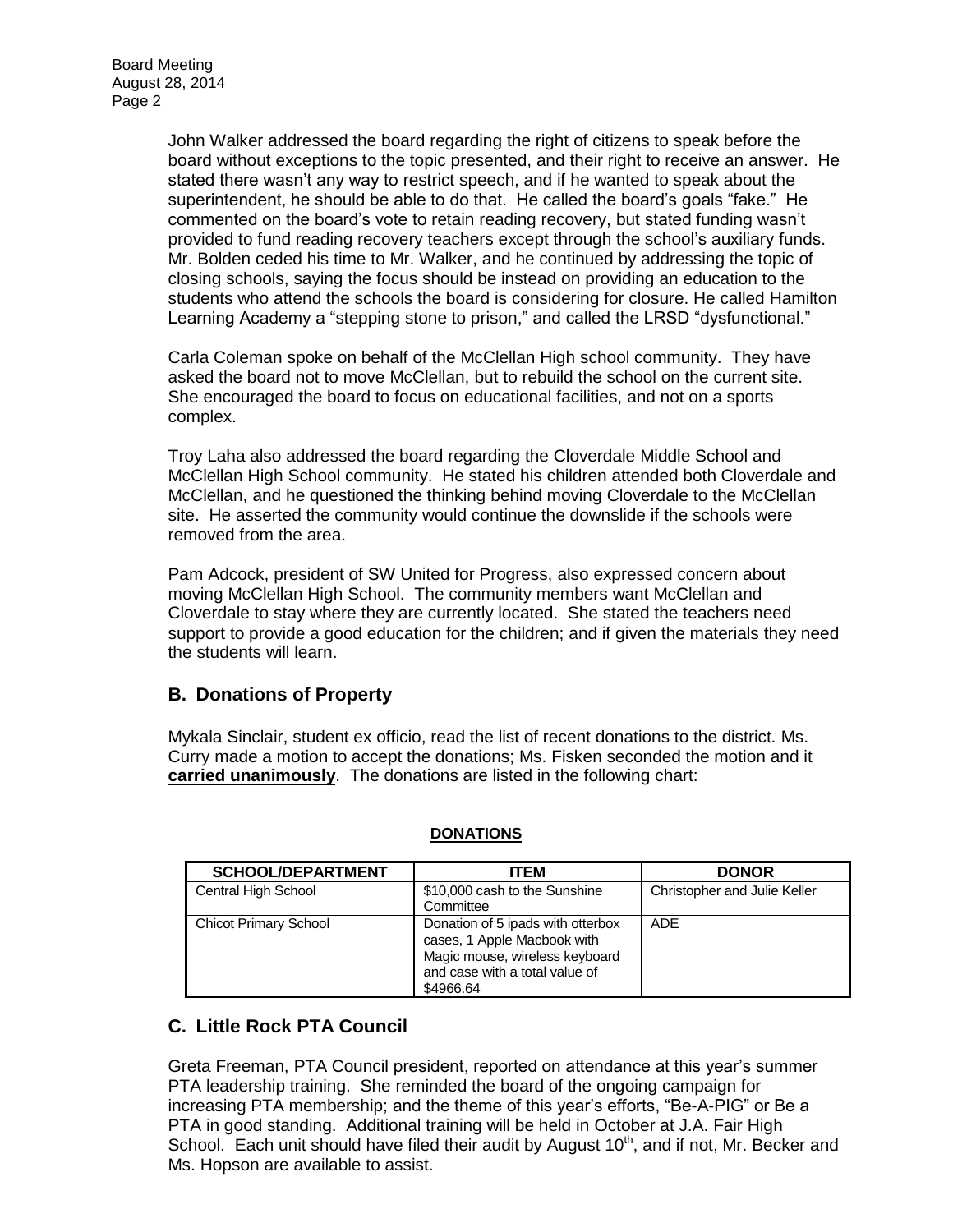John Walker addressed the board regarding the right of citizens to speak before the board without exceptions to the topic presented, and their right to receive an answer. He stated there wasn't any way to restrict speech, and if he wanted to speak about the superintendent, he should be able to do that. He called the board's goals "fake." He commented on the board's vote to retain reading recovery, but stated funding wasn't provided to fund reading recovery teachers except through the school's auxiliary funds. Mr. Bolden ceded his time to Mr. Walker, and he continued by addressing the topic of closing schools, saying the focus should be instead on providing an education to the students who attend the schools the board is considering for closure. He called Hamilton Learning Academy a "stepping stone to prison," and called the LRSD "dysfunctional."

Carla Coleman spoke on behalf of the McClellan High school community. They have asked the board not to move McClellan, but to rebuild the school on the current site. She encouraged the board to focus on educational facilities, and not on a sports complex.

Troy Laha also addressed the board regarding the Cloverdale Middle School and McClellan High School community. He stated his children attended both Cloverdale and McClellan, and he questioned the thinking behind moving Cloverdale to the McClellan site. He asserted the community would continue the downslide if the schools were removed from the area.

Pam Adcock, president of SW United for Progress, also expressed concern about moving McClellan High School. The community members want McClellan and Cloverdale to stay where they are currently located. She stated the teachers need support to provide a good education for the children; and if given the materials they need the students will learn.

## **B. Donations of Property**

Mykala Sinclair, student ex officio, read the list of recent donations to the district. Ms. Curry made a motion to accept the donations; Ms. Fisken seconded the motion and it **carried unanimously**. The donations are listed in the following chart:

| <b>SCHOOL/DEPARTMENT</b>     | <b>ITEM</b>                                                                                                                                       | <b>DONOR</b>                 |
|------------------------------|---------------------------------------------------------------------------------------------------------------------------------------------------|------------------------------|
| Central High School          | \$10,000 cash to the Sunshine                                                                                                                     | Christopher and Julie Keller |
|                              | Committee                                                                                                                                         |                              |
| <b>Chicot Primary School</b> | Donation of 5 ipads with otterbox<br>cases, 1 Apple Macbook with<br>Magic mouse, wireless keyboard<br>and case with a total value of<br>\$4966.64 | ADE                          |

### **DONATIONS**

# **C. Little Rock PTA Council**

Greta Freeman, PTA Council president, reported on attendance at this year's summer PTA leadership training. She reminded the board of the ongoing campaign for increasing PTA membership; and the theme of this year's efforts, "Be-A-PIG" or Be a PTA in good standing. Additional training will be held in October at J.A. Fair High School. Each unit should have filed their audit by August 10<sup>th</sup>, and if not, Mr. Becker and Ms. Hopson are available to assist.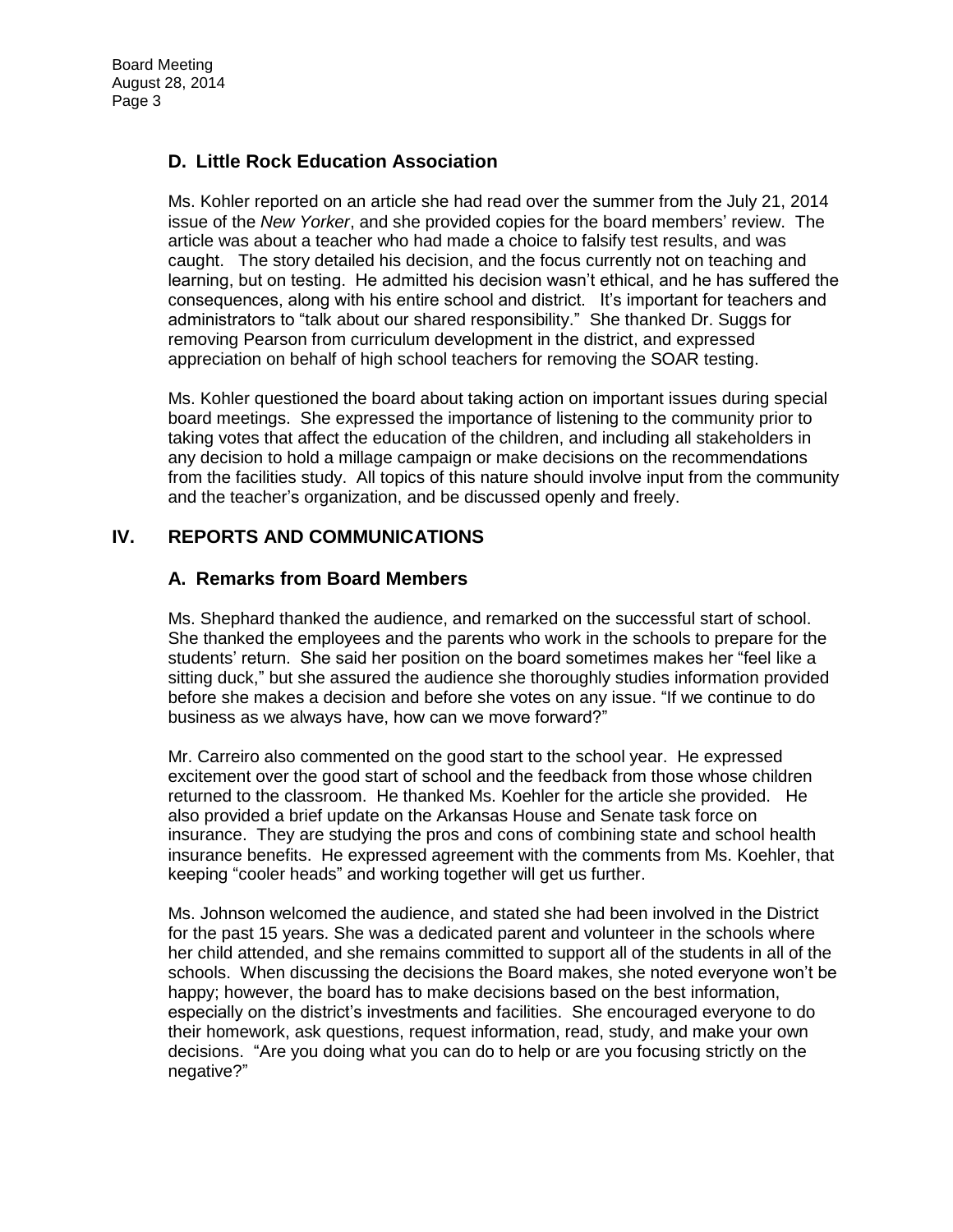# **D. Little Rock Education Association**

Ms. Kohler reported on an article she had read over the summer from the July 21, 2014 issue of the *New Yorker*, and she provided copies for the board members' review. The article was about a teacher who had made a choice to falsify test results, and was caught. The story detailed his decision, and the focus currently not on teaching and learning, but on testing. He admitted his decision wasn't ethical, and he has suffered the consequences, along with his entire school and district. It's important for teachers and administrators to "talk about our shared responsibility." She thanked Dr. Suggs for removing Pearson from curriculum development in the district, and expressed appreciation on behalf of high school teachers for removing the SOAR testing.

Ms. Kohler questioned the board about taking action on important issues during special board meetings. She expressed the importance of listening to the community prior to taking votes that affect the education of the children, and including all stakeholders in any decision to hold a millage campaign or make decisions on the recommendations from the facilities study. All topics of this nature should involve input from the community and the teacher's organization, and be discussed openly and freely.

## **IV. REPORTS AND COMMUNICATIONS**

## **A. Remarks from Board Members**

Ms. Shephard thanked the audience, and remarked on the successful start of school. She thanked the employees and the parents who work in the schools to prepare for the students' return. She said her position on the board sometimes makes her "feel like a sitting duck," but she assured the audience she thoroughly studies information provided before she makes a decision and before she votes on any issue. "If we continue to do business as we always have, how can we move forward?"

Mr. Carreiro also commented on the good start to the school year. He expressed excitement over the good start of school and the feedback from those whose children returned to the classroom. He thanked Ms. Koehler for the article she provided. He also provided a brief update on the Arkansas House and Senate task force on insurance. They are studying the pros and cons of combining state and school health insurance benefits. He expressed agreement with the comments from Ms. Koehler, that keeping "cooler heads" and working together will get us further.

Ms. Johnson welcomed the audience, and stated she had been involved in the District for the past 15 years. She was a dedicated parent and volunteer in the schools where her child attended, and she remains committed to support all of the students in all of the schools. When discussing the decisions the Board makes, she noted everyone won't be happy; however, the board has to make decisions based on the best information, especially on the district's investments and facilities. She encouraged everyone to do their homework, ask questions, request information, read, study, and make your own decisions. "Are you doing what you can do to help or are you focusing strictly on the negative?"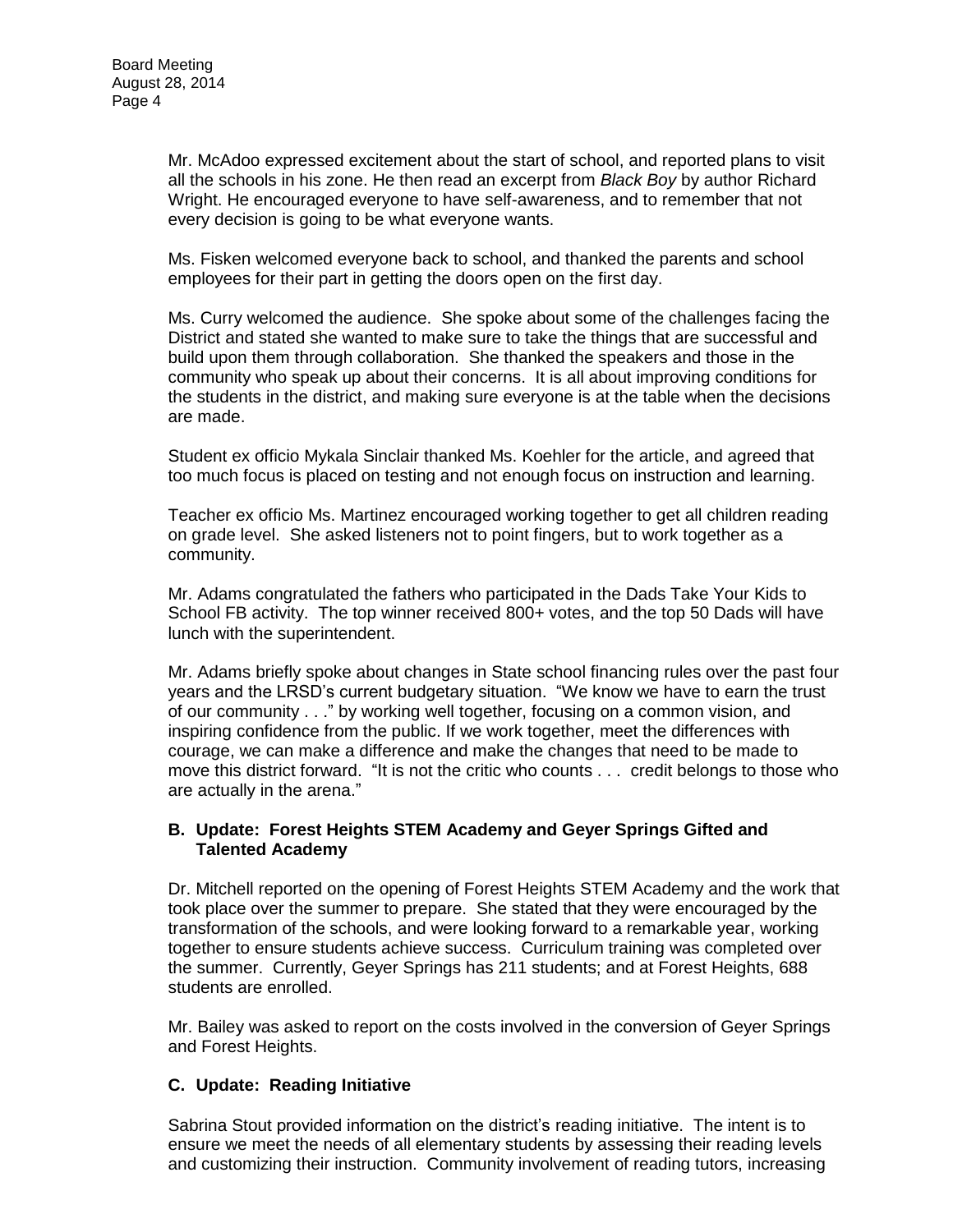Mr. McAdoo expressed excitement about the start of school, and reported plans to visit all the schools in his zone. He then read an excerpt from *Black Boy* by author Richard Wright. He encouraged everyone to have self-awareness, and to remember that not every decision is going to be what everyone wants.

Ms. Fisken welcomed everyone back to school, and thanked the parents and school employees for their part in getting the doors open on the first day.

Ms. Curry welcomed the audience. She spoke about some of the challenges facing the District and stated she wanted to make sure to take the things that are successful and build upon them through collaboration. She thanked the speakers and those in the community who speak up about their concerns. It is all about improving conditions for the students in the district, and making sure everyone is at the table when the decisions are made.

Student ex officio Mykala Sinclair thanked Ms. Koehler for the article, and agreed that too much focus is placed on testing and not enough focus on instruction and learning.

Teacher ex officio Ms. Martinez encouraged working together to get all children reading on grade level. She asked listeners not to point fingers, but to work together as a community.

Mr. Adams congratulated the fathers who participated in the Dads Take Your Kids to School FB activity. The top winner received 800+ votes, and the top 50 Dads will have lunch with the superintendent.

Mr. Adams briefly spoke about changes in State school financing rules over the past four years and the LRSD's current budgetary situation. "We know we have to earn the trust of our community . . ." by working well together, focusing on a common vision, and inspiring confidence from the public. If we work together, meet the differences with courage, we can make a difference and make the changes that need to be made to move this district forward. "It is not the critic who counts . . . credit belongs to those who are actually in the arena."

### **B. Update: Forest Heights STEM Academy and Geyer Springs Gifted and Talented Academy**

Dr. Mitchell reported on the opening of Forest Heights STEM Academy and the work that took place over the summer to prepare. She stated that they were encouraged by the transformation of the schools, and were looking forward to a remarkable year, working together to ensure students achieve success. Curriculum training was completed over the summer. Currently, Geyer Springs has 211 students; and at Forest Heights, 688 students are enrolled.

Mr. Bailey was asked to report on the costs involved in the conversion of Geyer Springs and Forest Heights.

### **C. Update: Reading Initiative**

Sabrina Stout provided information on the district's reading initiative. The intent is to ensure we meet the needs of all elementary students by assessing their reading levels and customizing their instruction. Community involvement of reading tutors, increasing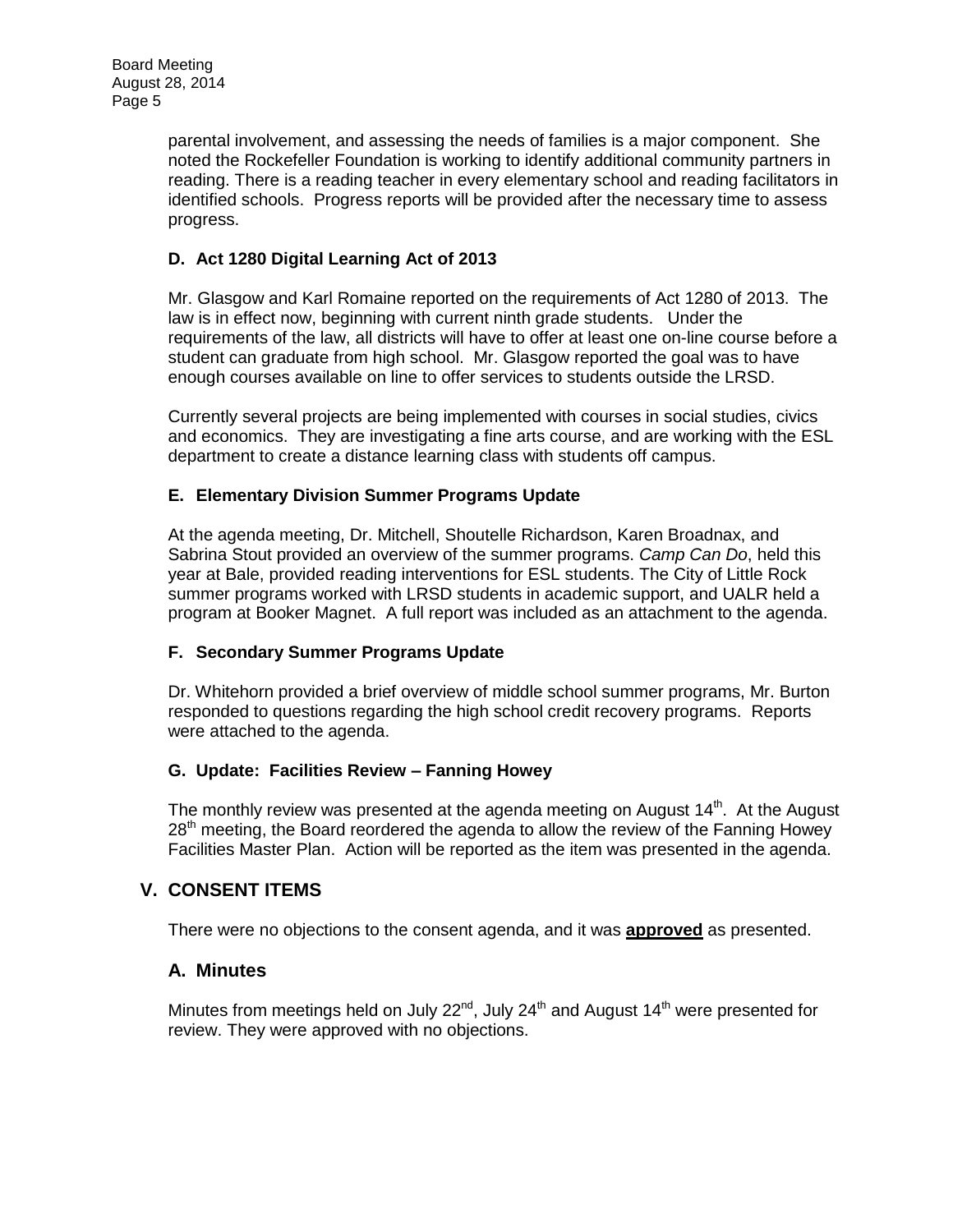parental involvement, and assessing the needs of families is a major component. She noted the Rockefeller Foundation is working to identify additional community partners in reading. There is a reading teacher in every elementary school and reading facilitators in identified schools. Progress reports will be provided after the necessary time to assess progress.

## **D. Act 1280 Digital Learning Act of 2013**

Mr. Glasgow and Karl Romaine reported on the requirements of Act 1280 of 2013. The law is in effect now, beginning with current ninth grade students. Under the requirements of the law, all districts will have to offer at least one on-line course before a student can graduate from high school. Mr. Glasgow reported the goal was to have enough courses available on line to offer services to students outside the LRSD.

Currently several projects are being implemented with courses in social studies, civics and economics. They are investigating a fine arts course, and are working with the ESL department to create a distance learning class with students off campus.

### **E. Elementary Division Summer Programs Update**

At the agenda meeting, Dr. Mitchell, Shoutelle Richardson, Karen Broadnax, and Sabrina Stout provided an overview of the summer programs. *Camp Can Do*, held this year at Bale, provided reading interventions for ESL students. The City of Little Rock summer programs worked with LRSD students in academic support, and UALR held a program at Booker Magnet. A full report was included as an attachment to the agenda.

### **F. Secondary Summer Programs Update**

Dr. Whitehorn provided a brief overview of middle school summer programs, Mr. Burton responded to questions regarding the high school credit recovery programs. Reports were attached to the agenda.

### **G. Update: Facilities Review – Fanning Howey**

The monthly review was presented at the agenda meeting on August  $14<sup>th</sup>$ . At the August 28<sup>th</sup> meeting, the Board reordered the agenda to allow the review of the Fanning Howey Facilities Master Plan. Action will be reported as the item was presented in the agenda.

## **V. CONSENT ITEMS**

There were no objections to the consent agenda, and it was **approved** as presented.

## **A. Minutes**

Minutes from meetings held on July 22 $n<sup>rd</sup>$ , July 24<sup>th</sup> and August 14<sup>th</sup> were presented for review. They were approved with no objections.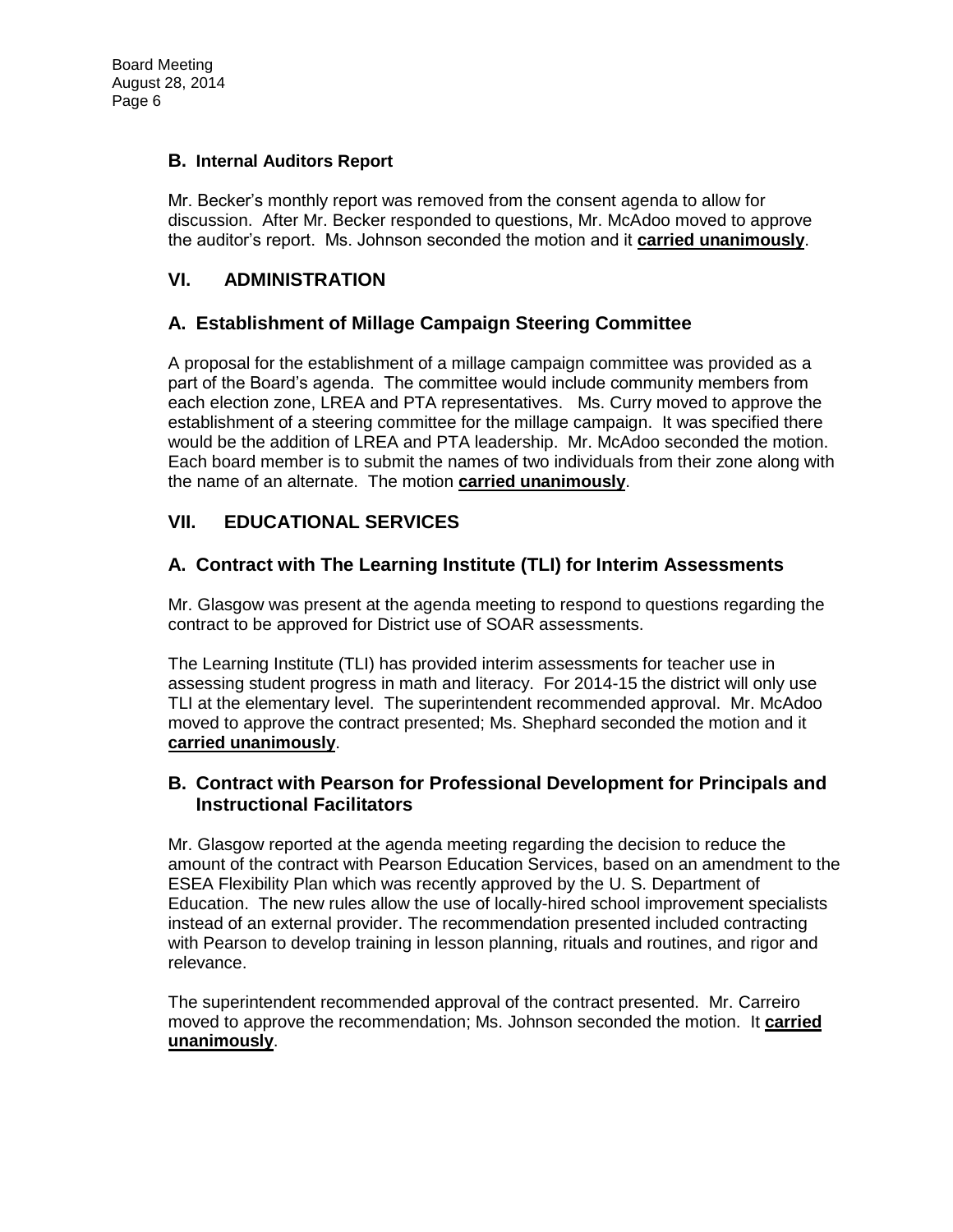### **B. Internal Auditors Report**

Mr. Becker's monthly report was removed from the consent agenda to allow for discussion. After Mr. Becker responded to questions, Mr. McAdoo moved to approve the auditor's report. Ms. Johnson seconded the motion and it **carried unanimously**.

# **VI. ADMINISTRATION**

## **A. Establishment of Millage Campaign Steering Committee**

A proposal for the establishment of a millage campaign committee was provided as a part of the Board's agenda. The committee would include community members from each election zone, LREA and PTA representatives. Ms. Curry moved to approve the establishment of a steering committee for the millage campaign. It was specified there would be the addition of LREA and PTA leadership. Mr. McAdoo seconded the motion. Each board member is to submit the names of two individuals from their zone along with the name of an alternate. The motion **carried unanimously**.

# **VII. EDUCATIONAL SERVICES**

## **A. Contract with The Learning Institute (TLI) for Interim Assessments**

Mr. Glasgow was present at the agenda meeting to respond to questions regarding the contract to be approved for District use of SOAR assessments.

The Learning Institute (TLI) has provided interim assessments for teacher use in assessing student progress in math and literacy. For 2014-15 the district will only use TLI at the elementary level. The superintendent recommended approval. Mr. McAdoo moved to approve the contract presented; Ms. Shephard seconded the motion and it **carried unanimously**.

## **B. Contract with Pearson for Professional Development for Principals and Instructional Facilitators**

Mr. Glasgow reported at the agenda meeting regarding the decision to reduce the amount of the contract with Pearson Education Services, based on an amendment to the ESEA Flexibility Plan which was recently approved by the U. S. Department of Education. The new rules allow the use of locally-hired school improvement specialists instead of an external provider. The recommendation presented included contracting with Pearson to develop training in lesson planning, rituals and routines, and rigor and relevance.

The superintendent recommended approval of the contract presented. Mr. Carreiro moved to approve the recommendation; Ms. Johnson seconded the motion. It **carried unanimously**.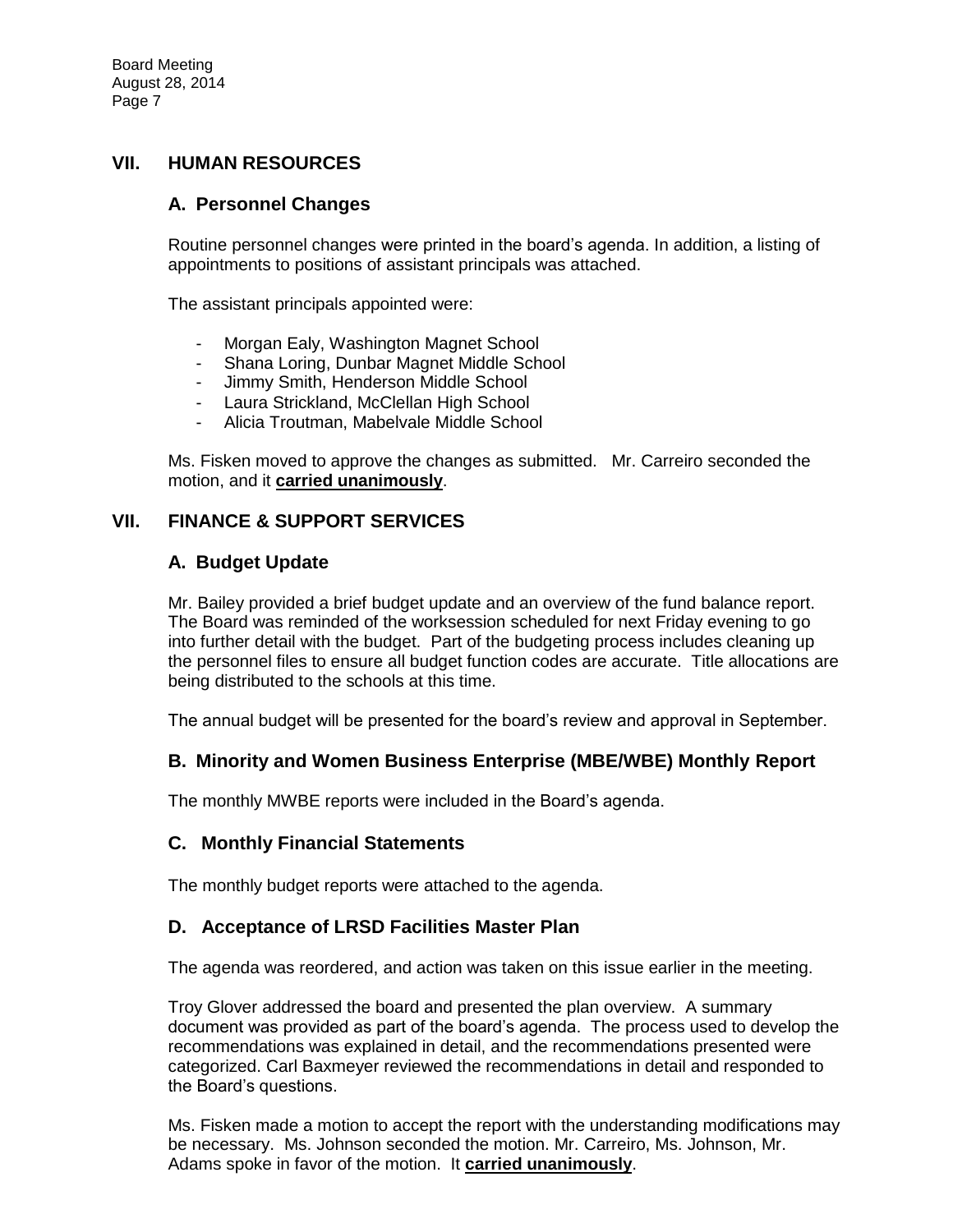### **VII. HUMAN RESOURCES**

### **A. Personnel Changes**

Routine personnel changes were printed in the board's agenda. In addition, a listing of appointments to positions of assistant principals was attached.

The assistant principals appointed were:

- Morgan Ealy, Washington Magnet School
- Shana Loring, Dunbar Magnet Middle School
- Jimmy Smith, Henderson Middle School
- Laura Strickland, McClellan High School
- Alicia Troutman, Mabelvale Middle School

Ms. Fisken moved to approve the changes as submitted. Mr. Carreiro seconded the motion, and it **carried unanimously**.

### **VII. FINANCE & SUPPORT SERVICES**

### **A. Budget Update**

Mr. Bailey provided a brief budget update and an overview of the fund balance report. The Board was reminded of the worksession scheduled for next Friday evening to go into further detail with the budget. Part of the budgeting process includes cleaning up the personnel files to ensure all budget function codes are accurate. Title allocations are being distributed to the schools at this time.

The annual budget will be presented for the board's review and approval in September.

## **B. Minority and Women Business Enterprise (MBE/WBE) Monthly Report**

The monthly MWBE reports were included in the Board's agenda.

### **C. Monthly Financial Statements**

The monthly budget reports were attached to the agenda.

### **D. Acceptance of LRSD Facilities Master Plan**

The agenda was reordered, and action was taken on this issue earlier in the meeting.

Troy Glover addressed the board and presented the plan overview. A summary document was provided as part of the board's agenda. The process used to develop the recommendations was explained in detail, and the recommendations presented were categorized. Carl Baxmeyer reviewed the recommendations in detail and responded to the Board's questions.

Ms. Fisken made a motion to accept the report with the understanding modifications may be necessary. Ms. Johnson seconded the motion. Mr. Carreiro, Ms. Johnson, Mr. Adams spoke in favor of the motion. It **carried unanimously**.